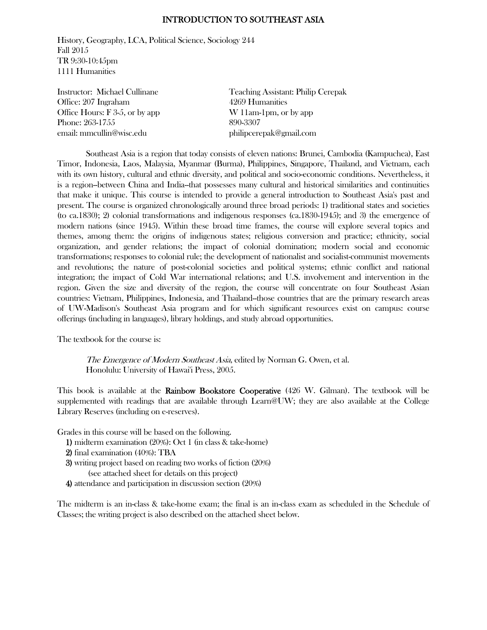#### INTRODUCTION TO SOUTHEAST ASIA

History, Geography, LCA, Political Science, Sociology 244 Fall 2015 TR 9:30-10:45pm 1111 Humanities

Office: 207 Ingraham 4269 Humanities Office Hours: F 3-5, or by app W 11am-1pm, or by app Phone: 263-1755 890-3307 email: mmcullin@wisc.edu philipcerepak@gmail.com

Instructor: Michael Cullinane Teaching Assistant: Philip Cerepak

 Southeast Asia is a region that today consists of eleven nations: Brunei, Cambodia (Kampuchea), East Timor, Indonesia, Laos, Malaysia, Myanmar (Burma), Philippines, Singapore, Thailand, and Vietnam, each with its own history, cultural and ethnic diversity, and political and socio-economic conditions. Nevertheless, it is a region--between China and India--that possesses many cultural and historical similarities and continuities that make it unique. This course is intended to provide a general introduction to Southeast Asia's past and present. The course is organized chronologically around three broad periods: 1) traditional states and societies (to ca.1830); 2) colonial transformations and indigenous responses (ca.1830-1945); and 3) the emergence of modern nations (since 1945). Within these broad time frames, the course will explore several topics and themes, among them: the origins of indigenous states; religious conversion and practice; ethnicity, social organization, and gender relations; the impact of colonial domination; modern social and economic transformations; responses to colonial rule; the development of nationalist and socialist-communist movements and revolutions; the nature of post-colonial societies and political systems; ethnic conflict and national integration; the impact of Cold War international relations; and U.S. involvement and intervention in the region. Given the size and diversity of the region, the course will concentrate on four Southeast Asian countries: Vietnam, Philippines, Indonesia, and Thailand--those countries that are the primary research areas of UW-Madison's Southeast Asia program and for which significant resources exist on campus: course offerings (including in languages), library holdings, and study abroad opportunities.

The textbook for the course is:

 The Emergence of Modern Southeast Asia, edited by Norman G. Owen, et al. Honolulu: University of Hawai'i Press, 2005.

This book is available at the Rainbow Bookstore Cooperative (426 W. Gilman). The textbook will be supplemented with readings that are available through Learn@UW; they are also available at the College Library Reserves (including on e-reserves).

Grades in this course will be based on the following.

1) midterm examination (20%): Oct 1 (in class & take-home)

- 2) final examination (40%): TBA
- 3) writing project based on reading two works of fiction (20%)
	- (see attached sheet for details on this project)
- 4) attendance and participation in discussion section (20%)

The midterm is an in-class & take-home exam; the final is an in-class exam as scheduled in the Schedule of Classes; the writing project is also described on the attached sheet below.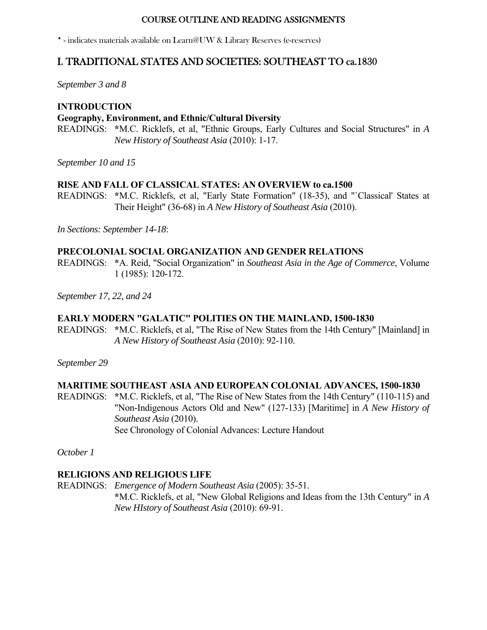#### COURSE OUTLINE AND READING ASSIGNMENTS

\* - indicates materials available on Learn@UW & Library Reserves (e-reserves)

## I. TRADITIONAL STATES AND SOCIETIES: SOUTHEAST TO ca.1830

*September 3 and 8*

## **INTRODUCTION Geography, Environment, and Ethnic/Cultural Diversity** READINGS: **\***M.C. Ricklefs, et al, "Ethnic Groups, Early Cultures and Social Structures" in *A*

*New History of Southeast Asia* (2010): 1-17.

*September 10 and 15*

#### **RISE AND FALL OF CLASSICAL STATES: AN OVERVIEW to ca.1500**

READINGS: **\***M.C. Ricklefs, et al, "Early State Formation" (18-35), and "`Classical' States at Their Height" (36-68) in *A New History of Southeast Asia* (2010).

*In Sections: September 14-18*:

## **PRECOLONIAL SOCIAL ORGANIZATION AND GENDER RELATIONS**

READINGS: **\***A. Reid, "Social Organization" in *Southeast Asia in the Age of Commerce*, Volume 1 (1985): 120-172.

*September 17, 22, and 24*

## **EARLY MODERN "GALATIC" POLITIES ON THE MAINLAND, 1500-1830**

READINGS: **\***M.C. Ricklefs, et al, "The Rise of New States from the 14th Century" [Mainland] in *A New History of Southeast Asia* (2010): 92-110.

*September 29*

#### **MARITIME SOUTHEAST ASIA AND EUROPEAN COLONIAL ADVANCES, 1500-1830**

READINGS: **\***M.C. Ricklefs, et al, "The Rise of New States from the 14th Century" (110-115) and "Non-Indigenous Actors Old and New" (127-133) [Maritime] in *A New History of Southeast Asia* (2010). See Chronology of Colonial Advances: Lecture Handout

*October 1*

### **RELIGIONS AND RELIGIOUS LIFE**

READINGS: *Emergence of Modern Southeast Asia* (2005): 35-51.  **\***M.C. Ricklefs, et al, "New Global Religions and Ideas from the 13th Century" in *A New HIstory of Southeast Asia* (2010): 69-91.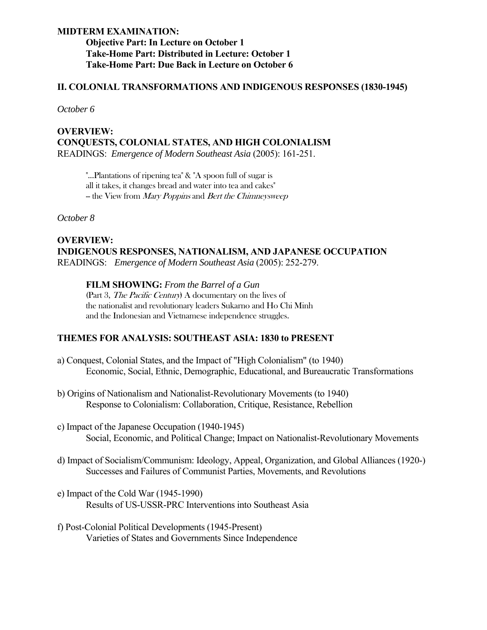## **MIDTERM EXAMINATION: Objective Part: In Lecture on October 1 Take-Home Part: Distributed in Lecture: October 1 Take-Home Part: Due Back in Lecture on October 6**

#### **II. COLONIAL TRANSFORMATIONS AND INDIGENOUS RESPONSES (1830-1945)**

*October 6*

## **OVERVIEW: CONQUESTS, COLONIAL STATES, AND HIGH COLONIALISM** READINGS: *Emergence of Modern Southeast Asia* (2005): 161-251.

 "...Plantations of ripening tea" & "A spoon full of sugar is all it takes, it changes bread and water into tea and cakes" - the View from Mary Poppins and Bert the Chimneysweep

*October 8*

## **OVERVIEW: INDIGENOUS RESPONSES, NATIONALISM, AND JAPANESE OCCUPATION** READINGS: *Emergence of Modern Southeast Asia* (2005): 252-279.

#### **FILM SHOWING:** *From the Barrel of a Gun*

(Part 3, The Pacific Century) A documentary on the lives of the nationalist and revolutionary leaders Sukarno and Ho Chi Minh and the Indonesian and Vietnamese independence struggles.

#### **THEMES FOR ANALYSIS: SOUTHEAST ASIA: 1830 to PRESENT**

- a) Conquest, Colonial States, and the Impact of "High Colonialism" (to 1940) Economic, Social, Ethnic, Demographic, Educational, and Bureaucratic Transformations
- b) Origins of Nationalism and Nationalist-Revolutionary Movements (to 1940) Response to Colonialism: Collaboration, Critique, Resistance, Rebellion
- c) Impact of the Japanese Occupation (1940-1945) Social, Economic, and Political Change; Impact on Nationalist-Revolutionary Movements
- d) Impact of Socialism/Communism: Ideology, Appeal, Organization, and Global Alliances (1920-) Successes and Failures of Communist Parties, Movements, and Revolutions
- e) Impact of the Cold War (1945-1990) Results of US-USSR-PRC Interventions into Southeast Asia
- f) Post-Colonial Political Developments (1945-Present) Varieties of States and Governments Since Independence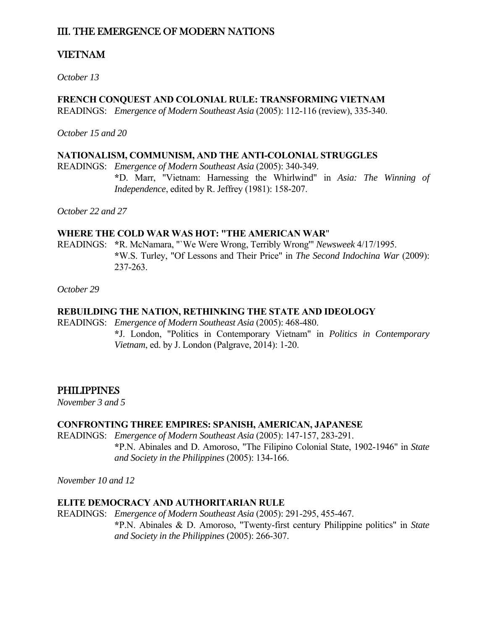# III. THE EMERGENCE OF MODERN NATIONS

# VIETNAM

*October 13*

## **FRENCH CONQUEST AND COLONIAL RULE: TRANSFORMING VIETNAM**

READINGS: *Emergence of Modern Southeast Asia* (2005): 112-116 (review), 335-340.

*October 15 and 20*

#### **NATIONALISM, COMMUNISM, AND THE ANTI-COLONIAL STRUGGLES**

READINGS: *Emergence of Modern Southeast Asia* (2005): 340-349.

 **\***D. Marr, "Vietnam: Harnessing the Whirlwind" in *Asia: The Winning of Independence*, edited by R. Jeffrey (1981): 158-207.

*October 22 and 27*

## **WHERE THE COLD WAR WAS HOT: "THE AMERICAN WAR**"

READINGS: **\***R. McNamara, "`We Were Wrong, Terribly Wrong'" *Newsweek* 4/17/1995.  **\***W.S. Turley, "Of Lessons and Their Price" in *The Second Indochina War* (2009): 237-263.

*October 29*

## **REBUILDING THE NATION, RETHINKING THE STATE AND IDEOLOGY**

READINGS: *Emergence of Modern Southeast Asia* (2005): 468-480.

 **\***J. London, "Politics in Contemporary Vietnam" in *Politics in Contemporary Vietnam*, ed. by J. London (Palgrave, 2014): 1-20.

## **PHILIPPINES**

*November 3 and 5*

## **CONFRONTING THREE EMPIRES: SPANISH, AMERICAN, JAPANESE**

READINGS: *Emergence of Modern Southeast Asia* (2005): 147-157, 283-291.  **\***P.N. Abinales and D. Amoroso, "The Filipino Colonial State, 1902-1946" in *State and Society in the Philippines* (2005): 134-166.

*November 10 and 12*

#### **ELITE DEMOCRACY AND AUTHORITARIAN RULE**

READINGS: *Emergence of Modern Southeast Asia* (2005): 291-295, 455-467.  **\***P.N. Abinales & D. Amoroso, "Twenty-first century Philippine politics" in *State and Society in the Philippines* (2005): 266-307.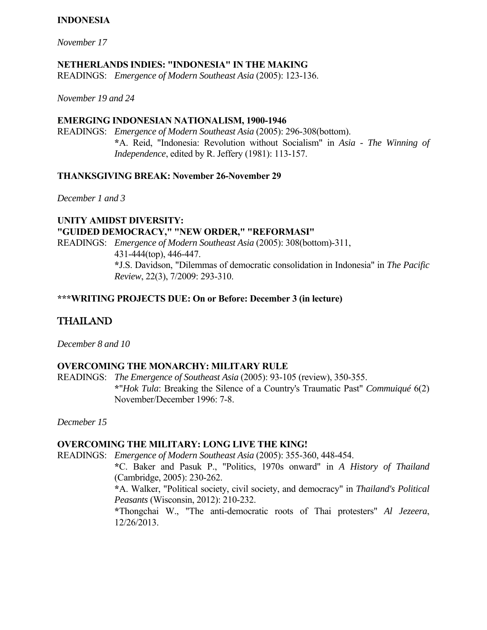## **INDONESIA**

*November 17*

### **NETHERLANDS INDIES: "INDONESIA" IN THE MAKING**

READINGS: *Emergence of Modern Southeast Asia* (2005): 123-136.

*November 19 and 24*

#### **EMERGING INDONESIAN NATIONALISM, 1900-1946**

READINGS: *Emergence of Modern Southeast Asia* (2005): 296-308(bottom).  **\***A. Reid, "Indonesia: Revolution without Socialism" in *Asia - The Winning of Independence*, edited by R. Jeffery (1981): 113-157.

## **THANKSGIVING BREAK: November 26-November 29**

*December 1 and 3*

**UNITY AMIDST DIVERSITY: "GUIDED DEMOCRACY," "NEW ORDER," "REFORMASI"** READINGS: *Emergence of Modern Southeast Asia* (2005): 308(bottom)-311, 431-444(top), 446-447.  **\***J.S. Davidson, "Dilemmas of democratic consolidation in Indonesia" in *The Pacific Review*, 22(3), 7/2009: 293-310.

## **\*\*\*WRITING PROJECTS DUE: On or Before: December 3 (in lecture)**

# THAILAND

*December 8 and 10*

## **OVERCOMING THE MONARCHY: MILITARY RULE**

READINGS: *The Emergence of Southeast Asia* (2005): 93-105 (review), 350-355.  **\***"*Hok Tula*: Breaking the Silence of a Country's Traumatic Past" *Commuiqué* 6(2) November/December 1996: 7-8.

*Decmeber 15*

#### **OVERCOMING THE MILITARY: LONG LIVE THE KING!**

READINGS: *Emergence of Modern Southeast Asia* (2005): 355-360, 448-454.

 **\***C. Baker and Pasuk P., "Politics, 1970s onward" in *A History of Thailand* (Cambridge, 2005): 230-262.

 **\***A. Walker, "Political society, civil society, and democracy" in *Thailand's Political Peasants* (Wisconsin, 2012): 210-232.

 **\***Thongchai W., "The anti-democratic roots of Thai protesters" *Al Jezeera*, 12/26/2013.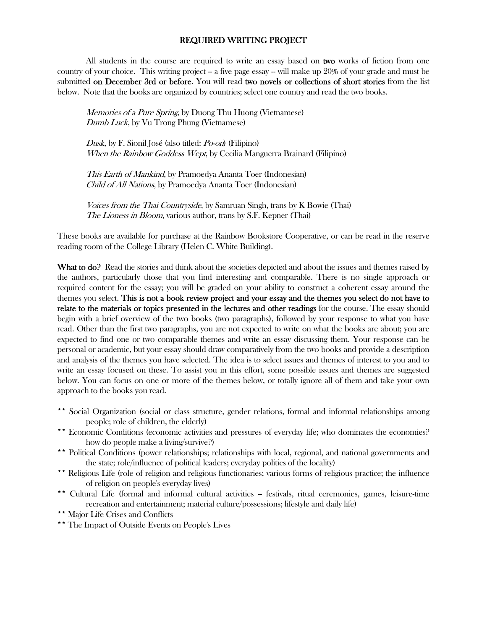#### REQUIRED WRITING PROJECT

 All students in the course are required to write an essay based on two works of fiction from one country of your choice. This writing project – a five page essay –- will make up 20% of your grade and must be submitted on December 3rd or before. You will read two novels or collections of short stories from the list below. Note that the books are organized by countries; select one country and read the two books.

Memories of a Pure Spring, by Duong Thu Huong (Vietnamese) Dumb Luck, by Vu Trong Phung (Vietnamese)

 Dusk, by F. Sionil José (also titled: Po-on) (Filipino) When the Rainbow Goddess Wept, by Cecilia Manguerra Brainard (Filipino)

 This Earth of Mankind, by Pramoedya Ananta Toer (Indonesian) Child of All Nations, by Pramoedya Ananta Toer (Indonesian)

Voices from the Thai Countryside, by Samruan Singh, trans by K Bowie (Thai) The Lioness in Bloom, various author, trans by S.F. Kepner (Thai)

These books are available for purchase at the Rainbow Bookstore Cooperative, or can be read in the reserve reading room of the College Library (Helen C. White Building).

What to do? Read the stories and think about the societies depicted and about the issues and themes raised by the authors, particularly those that you find interesting and comparable. There is no single approach or required content for the essay; you will be graded on your ability to construct a coherent essay around the themes you select. This is not a book review project and your essay and the themes you select do not have to relate to the materials or topics presented in the lectures and other readings for the course. The essay should begin with a brief overview of the two books (two paragraphs), followed by your response to what you have read. Other than the first two paragraphs, you are not expected to write on what the books are about; you are expected to find one or two comparable themes and write an essay discussing them. Your response can be personal or academic, but your essay should draw comparatively from the two books and provide a description and analysis of the themes you have selected. The idea is to select issues and themes of interest to you and to write an essay focused on these. To assist you in this effort, some possible issues and themes are suggested below. You can focus on one or more of the themes below, or totally ignore all of them and take your own approach to the books you read.

- \*\* Social Organization (social or class structure, gender relations, formal and informal relationships among people; role of children, the elderly)
- \*\* Economic Conditions (economic activities and pressures of everyday life; who dominates the economies? how do people make a living/survive?)
- \*\* Political Conditions (power relationships; relationships with local, regional, and national governments and the state; role/influence of political leaders; everyday politics of the locality)
- \*\* Religious Life (role of religion and religious functionaries; various forms of religious practice; the influence of religion on people's everyday lives)
- \*\* Cultural Life (formal and informal cultural activities festivals, ritual ceremonies, games, leisure-time recreation and entertainment; material culture/possessions; lifestyle and daily life)
- \*\* Major Life Crises and Conflicts
- \*\* The Impact of Outside Events on People's Lives